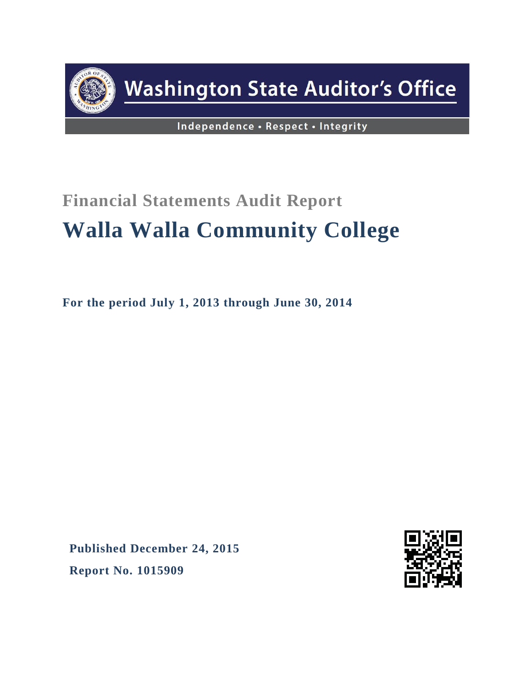

# **Financial Statements Audit Report Walla Walla Community College**

**For the period July 1, 2013 through June 30, 2014**

**Published December 24, 2015 Report No. 1015909**

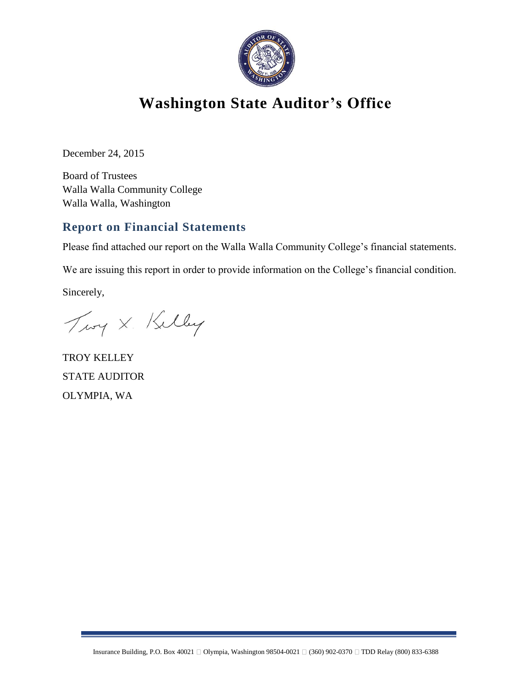

# **Washington State Auditor's Office**

December 24, 2015

Board of Trustees Walla Walla Community College Walla Walla, Washington

#### **Report on Financial Statements**

Please find attached our report on the Walla Walla Community College's financial statements.

We are issuing this report in order to provide information on the College's financial condition.

Sincerely,

Troy X. Kelley

TROY KELLEY STATE AUDITOR OLYMPIA, WA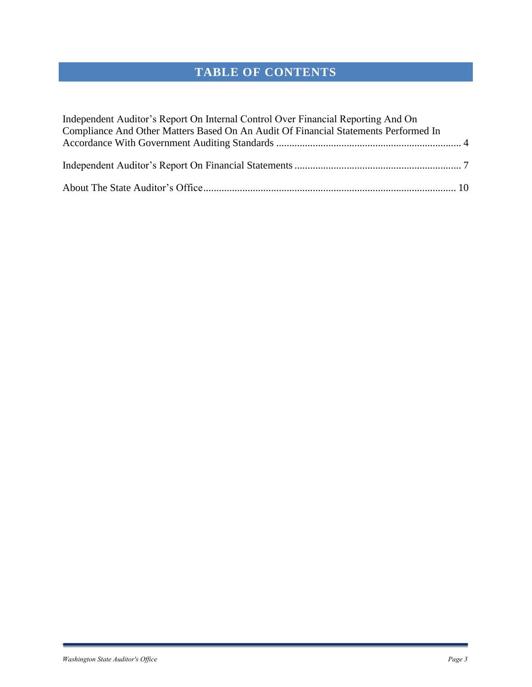# **TABLE OF CONTENTS**

| Independent Auditor's Report On Internal Control Over Financial Reporting And On    |  |
|-------------------------------------------------------------------------------------|--|
| Compliance And Other Matters Based On An Audit Of Financial Statements Performed In |  |
|                                                                                     |  |
|                                                                                     |  |
|                                                                                     |  |
|                                                                                     |  |
|                                                                                     |  |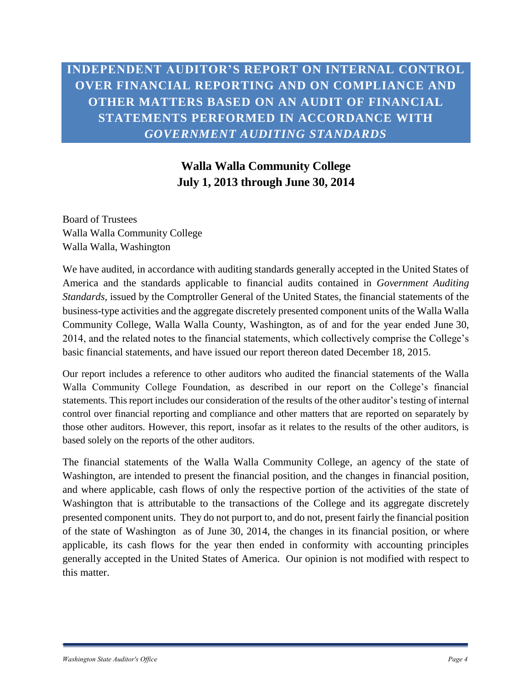# <span id="page-3-0"></span>**INDEPENDENT AUDITOR'S REPORT ON INTERNAL CONTROL OVER FINANCIAL REPORTING AND ON COMPLIANCE AND OTHER MATTERS BASED ON AN AUDIT OF FINANCIAL STATEMENTS PERFORMED IN ACCORDANCE WITH**  *GOVERNMENT AUDITING STANDARDS*

**Walla Walla Community College July 1, 2013 through June 30, 2014** 

Board of Trustees Walla Walla Community College Walla Walla, Washington

We have audited, in accordance with auditing standards generally accepted in the United States of America and the standards applicable to financial audits contained in *Government Auditing Standards*, issued by the Comptroller General of the United States, the financial statements of the business-type activities and the aggregate discretely presented component units of the Walla Walla Community College, Walla Walla County, Washington, as of and for the year ended June 30, 2014, and the related notes to the financial statements, which collectively comprise the College's basic financial statements, and have issued our report thereon dated December 18, 2015.

Our report includes a reference to other auditors who audited the financial statements of the Walla Walla Community College Foundation, as described in our report on the College's financial statements. This report includes our consideration of the results of the other auditor's testing of internal control over financial reporting and compliance and other matters that are reported on separately by those other auditors. However, this report, insofar as it relates to the results of the other auditors, is based solely on the reports of the other auditors.

The financial statements of the Walla Walla Community College, an agency of the state of Washington, are intended to present the financial position, and the changes in financial position, and where applicable, cash flows of only the respective portion of the activities of the state of Washington that is attributable to the transactions of the College and its aggregate discretely presented component units. They do not purport to, and do not, present fairly the financial position of the state of Washington as of June 30, 2014, the changes in its financial position, or where applicable, its cash flows for the year then ended in conformity with accounting principles generally accepted in the United States of America. Our opinion is not modified with respect to this matter.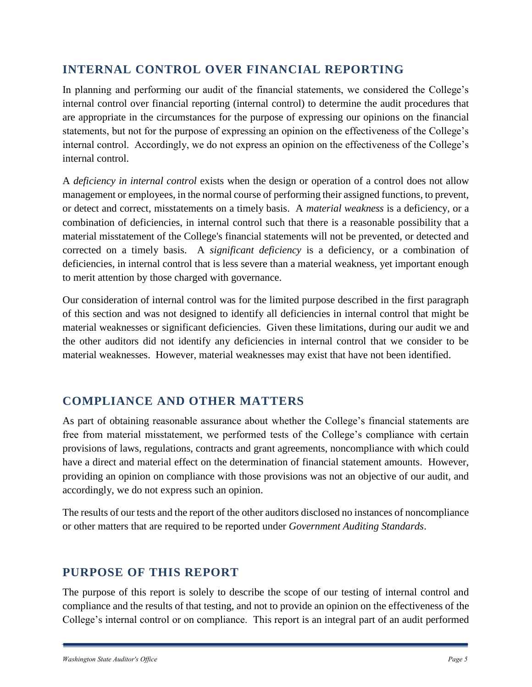## **INTERNAL CONTROL OVER FINANCIAL REPORTING**

In planning and performing our audit of the financial statements, we considered the College's internal control over financial reporting (internal control) to determine the audit procedures that are appropriate in the circumstances for the purpose of expressing our opinions on the financial statements, but not for the purpose of expressing an opinion on the effectiveness of the College's internal control. Accordingly, we do not express an opinion on the effectiveness of the College's internal control.

A *deficiency in internal control* exists when the design or operation of a control does not allow management or employees, in the normal course of performing their assigned functions, to prevent, or detect and correct, misstatements on a timely basis. A *material weakness* is a deficiency, or a combination of deficiencies, in internal control such that there is a reasonable possibility that a material misstatement of the College's financial statements will not be prevented, or detected and corrected on a timely basis. A *significant deficiency* is a deficiency, or a combination of deficiencies, in internal control that is less severe than a material weakness, yet important enough to merit attention by those charged with governance.

Our consideration of internal control was for the limited purpose described in the first paragraph of this section and was not designed to identify all deficiencies in internal control that might be material weaknesses or significant deficiencies. Given these limitations, during our audit we and the other auditors did not identify any deficiencies in internal control that we consider to be material weaknesses. However, material weaknesses may exist that have not been identified.

# **COMPLIANCE AND OTHER MATTERS**

As part of obtaining reasonable assurance about whether the College's financial statements are free from material misstatement, we performed tests of the College's compliance with certain provisions of laws, regulations, contracts and grant agreements, noncompliance with which could have a direct and material effect on the determination of financial statement amounts. However, providing an opinion on compliance with those provisions was not an objective of our audit, and accordingly, we do not express such an opinion.

The results of our tests and the report of the other auditors disclosed no instances of noncompliance or other matters that are required to be reported under *Government Auditing Standards*.

#### **PURPOSE OF THIS REPORT**

The purpose of this report is solely to describe the scope of our testing of internal control and compliance and the results of that testing, and not to provide an opinion on the effectiveness of the College's internal control or on compliance. This report is an integral part of an audit performed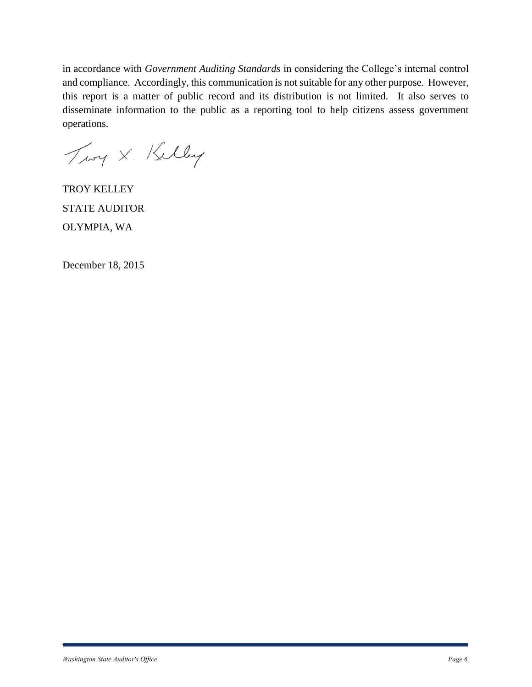in accordance with *Government Auditing Standards* in considering the College's internal control and compliance. Accordingly, this communication is not suitable for any other purpose. However, this report is a matter of public record and its distribution is not limited. It also serves to disseminate information to the public as a reporting tool to help citizens assess government operations.

*\_\_\_\_\_\_\_\_\_\_\_\_\_\_\_\_\_\_\_\_\_\_\_\_\_\_\_\_\_\_\_\_\_\_\_\_\_\_\_\_\_\_\_\_\_\_\_\_\_\_\_\_\_\_\_\_\_\_\_\_\_\_\_\_\_\_\_\_\_\_\_\_\_\_\_\_\_\_\_\_\_\_\_\_\_\_\_\_\_\_\_\_\_\_\_\_\_\_\_\_\_\_\_\_\_\_\_\_\_\_\_\_\_\_\_\_\_*

Twy X. Kelley

TROY KELLEY STATE AUDITOR OLYMPIA, WA

December 18, 2015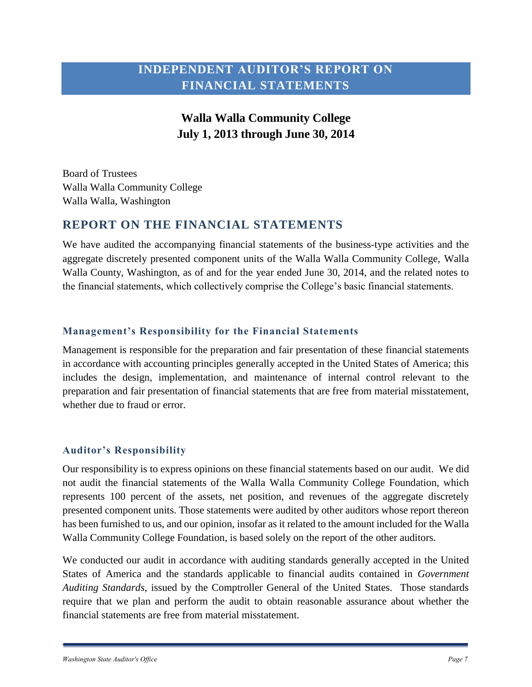# <span id="page-6-0"></span>**INDEPENDENT AUDITOR'S REPORT ON FINANCIAL STATEMENTS**

# **Walla Walla Community College July 1, 2013 through June 30, 2014**

Board of Trustees Walla Walla Community College Walla Walla, Washington

## **REPORT ON THE FINANCIAL STATEMENTS**

We have audited the accompanying financial statements of the business-type activities and the aggregate discretely presented component units of the Walla Walla Community College, Walla Walla County, Washington, as of and for the year ended June 30, 2014, and the related notes to the financial statements, which collectively comprise the College's basic financial statements.

#### **Management's Responsibility for the Financial Statements**

Management is responsible for the preparation and fair presentation of these financial statements in accordance with accounting principles generally accepted in the United States of America; this includes the design, implementation, and maintenance of internal control relevant to the preparation and fair presentation of financial statements that are free from material misstatement, whether due to fraud or error.

#### **Auditor's Responsibility**

Our responsibility is to express opinions on these financial statements based on our audit. We did not audit the financial statements of the Walla Walla Community College Foundation, which represents 100 percent of the assets, net position, and revenues of the aggregate discretely presented component units. Those statements were audited by other auditors whose report thereon has been furnished to us, and our opinion, insofar as it related to the amount included for the Walla Walla Community College Foundation, is based solely on the report of the other auditors.

We conducted our audit in accordance with auditing standards generally accepted in the United States of America and the standards applicable to financial audits contained in *Government Auditing Standards*, issued by the Comptroller General of the United States. Those standards require that we plan and perform the audit to obtain reasonable assurance about whether the financial statements are free from material misstatement.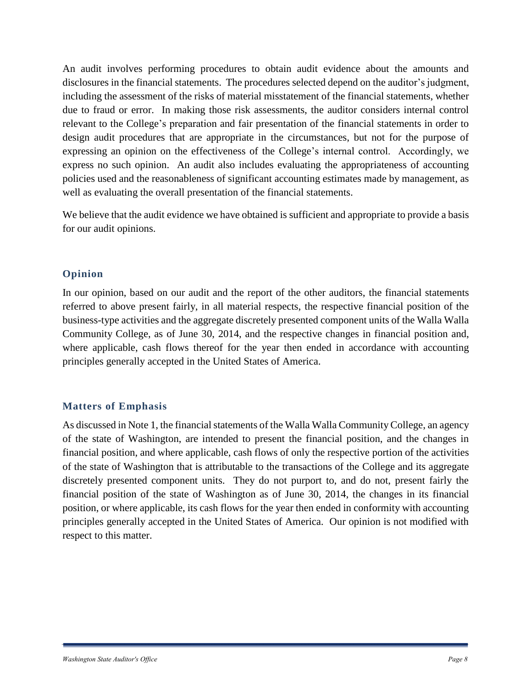An audit involves performing procedures to obtain audit evidence about the amounts and disclosures in the financial statements. The procedures selected depend on the auditor's judgment, including the assessment of the risks of material misstatement of the financial statements, whether due to fraud or error. In making those risk assessments, the auditor considers internal control relevant to the College's preparation and fair presentation of the financial statements in order to design audit procedures that are appropriate in the circumstances, but not for the purpose of expressing an opinion on the effectiveness of the College's internal control. Accordingly, we express no such opinion. An audit also includes evaluating the appropriateness of accounting policies used and the reasonableness of significant accounting estimates made by management, as well as evaluating the overall presentation of the financial statements.

We believe that the audit evidence we have obtained is sufficient and appropriate to provide a basis for our audit opinions.

#### **Opinion**

In our opinion, based on our audit and the report of the other auditors, the financial statements referred to above present fairly, in all material respects, the respective financial position of the business-type activities and the aggregate discretely presented component units of the Walla Walla Community College, as of June 30, 2014, and the respective changes in financial position and, where applicable, cash flows thereof for the year then ended in accordance with accounting principles generally accepted in the United States of America.

#### **Matters of Emphasis**

As discussed in Note 1, the financial statements of the Walla Walla Community College, an agency of the state of Washington, are intended to present the financial position, and the changes in financial position, and where applicable, cash flows of only the respective portion of the activities of the state of Washington that is attributable to the transactions of the College and its aggregate discretely presented component units. They do not purport to, and do not, present fairly the financial position of the state of Washington as of June 30, 2014, the changes in its financial position, or where applicable, its cash flows for the year then ended in conformity with accounting principles generally accepted in the United States of America. Our opinion is not modified with respect to this matter.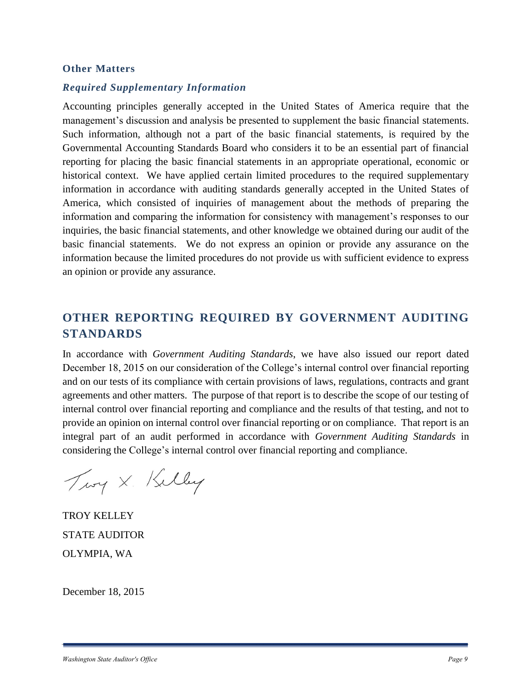#### **Other Matters**

#### *Required Supplementary Information*

Accounting principles generally accepted in the United States of America require that the management's discussion and analysis be presented to supplement the basic financial statements. Such information, although not a part of the basic financial statements, is required by the Governmental Accounting Standards Board who considers it to be an essential part of financial reporting for placing the basic financial statements in an appropriate operational, economic or historical context. We have applied certain limited procedures to the required supplementary information in accordance with auditing standards generally accepted in the United States of America, which consisted of inquiries of management about the methods of preparing the information and comparing the information for consistency with management's responses to our inquiries, the basic financial statements, and other knowledge we obtained during our audit of the basic financial statements. We do not express an opinion or provide any assurance on the information because the limited procedures do not provide us with sufficient evidence to express an opinion or provide any assurance.

# **OTHER REPORTING REQUIRED BY GOVERNMENT AUDITING STANDARDS**

In accordance with *Government Auditing Standards*, we have also issued our report dated December 18, 2015 on our consideration of the College's internal control over financial reporting and on our tests of its compliance with certain provisions of laws, regulations, contracts and grant agreements and other matters. The purpose of that report is to describe the scope of our testing of internal control over financial reporting and compliance and the results of that testing, and not to provide an opinion on internal control over financial reporting or on compliance. That report is an integral part of an audit performed in accordance with *Government Auditing Standards* in considering the College's internal control over financial reporting and compliance.

*\_\_\_\_\_\_\_\_\_\_\_\_\_\_\_\_\_\_\_\_\_\_\_\_\_\_\_\_\_\_\_\_\_\_\_\_\_\_\_\_\_\_\_\_\_\_\_\_\_\_\_\_\_\_\_\_\_\_\_\_\_\_\_\_\_\_\_\_\_\_\_\_\_\_\_\_\_\_\_\_\_\_\_\_\_\_\_\_\_\_\_\_\_\_\_\_\_\_\_\_\_\_\_\_\_\_\_\_\_\_\_\_\_\_\_\_\_*

Troy X. Kelley

TROY KELLEY STATE AUDITOR OLYMPIA, WA

December 18, 2015